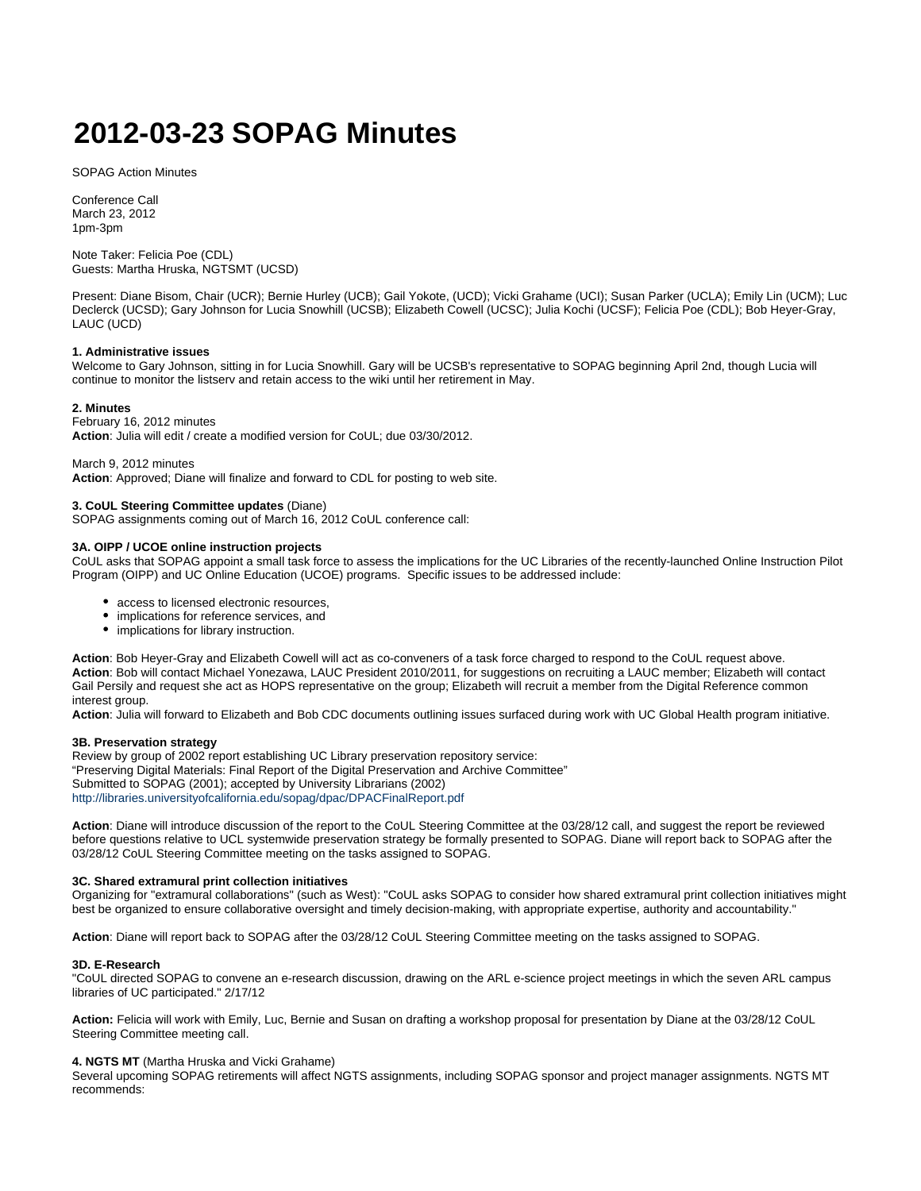# **2012-03-23 SOPAG Minutes**

SOPAG Action Minutes

Conference Call March 23, 2012 1pm-3pm

Note Taker: Felicia Poe (CDL) Guests: Martha Hruska, NGTSMT (UCSD)

Present: Diane Bisom, Chair (UCR); Bernie Hurley (UCB); Gail Yokote, (UCD); Vicki Grahame (UCI); Susan Parker (UCLA); Emily Lin (UCM); Luc Declerck (UCSD); Gary Johnson for Lucia Snowhill (UCSB); Elizabeth Cowell (UCSC); Julia Kochi (UCSF); Felicia Poe (CDL); Bob Heyer-Gray, LAUC (UCD)

# **1. Administrative issues**

Welcome to Gary Johnson, sitting in for Lucia Snowhill. Gary will be UCSB's representative to SOPAG beginning April 2nd, though Lucia will continue to monitor the listserv and retain access to the wiki until her retirement in May.

# **2. Minutes**

February 16, 2012 minutes **Action**: Julia will edit / create a modified version for CoUL; due 03/30/2012.

March 9, 2012 minutes **Action**: Approved; Diane will finalize and forward to CDL for posting to web site.

# **3. CoUL Steering Committee updates** (Diane)

SOPAG assignments coming out of March 16, 2012 CoUL conference call:

#### **3A. OIPP / UCOE online instruction projects**

CoUL asks that SOPAG appoint a small task force to assess the implications for the UC Libraries of the recently-launched Online Instruction Pilot Program (OIPP) and UC Online Education (UCOE) programs. Specific issues to be addressed include:

- access to licensed electronic resources,
- implications for reference services, and
- implications for library instruction.

**Action**: Bob Heyer-Gray and Elizabeth Cowell will act as co-conveners of a task force charged to respond to the CoUL request above. **Action**: Bob will contact Michael Yonezawa, LAUC President 2010/2011, for suggestions on recruiting a LAUC member; Elizabeth will contact Gail Persily and request she act as HOPS representative on the group; Elizabeth will recruit a member from the Digital Reference common interest group.

**Action**: Julia will forward to Elizabeth and Bob CDC documents outlining issues surfaced during work with UC Global Health program initiative.

# **3B. Preservation strategy**

Review by group of 2002 report establishing UC Library preservation repository service: "Preserving Digital Materials: Final Report of the Digital Preservation and Archive Committee" Submitted to SOPAG (2001); accepted by University Librarians (2002) <http://libraries.universityofcalifornia.edu/sopag/dpac/DPACFinalReport.pdf>

Action: Diane will introduce discussion of the report to the CoUL Steering Committee at the 03/28/12 call, and suggest the report be reviewed before questions relative to UCL systemwide preservation strategy be formally presented to SOPAG. Diane will report back to SOPAG after the 03/28/12 CoUL Steering Committee meeting on the tasks assigned to SOPAG.

# **3C. Shared extramural print collection initiatives**

Organizing for "extramural collaborations" (such as West): "CoUL asks SOPAG to consider how shared extramural print collection initiatives might best be organized to ensure collaborative oversight and timely decision-making, with appropriate expertise, authority and accountability."

**Action**: Diane will report back to SOPAG after the 03/28/12 CoUL Steering Committee meeting on the tasks assigned to SOPAG.

#### **3D. E-Research**

"CoUL directed SOPAG to convene an e-research discussion, drawing on the ARL e-science project meetings in which the seven ARL campus libraries of UC participated." 2/17/12

**Action:** Felicia will work with Emily, Luc, Bernie and Susan on drafting a workshop proposal for presentation by Diane at the 03/28/12 CoUL Steering Committee meeting call.

#### **4. NGTS MT** (Martha Hruska and Vicki Grahame)

Several upcoming SOPAG retirements will affect NGTS assignments, including SOPAG sponsor and project manager assignments. NGTS MT recommends: